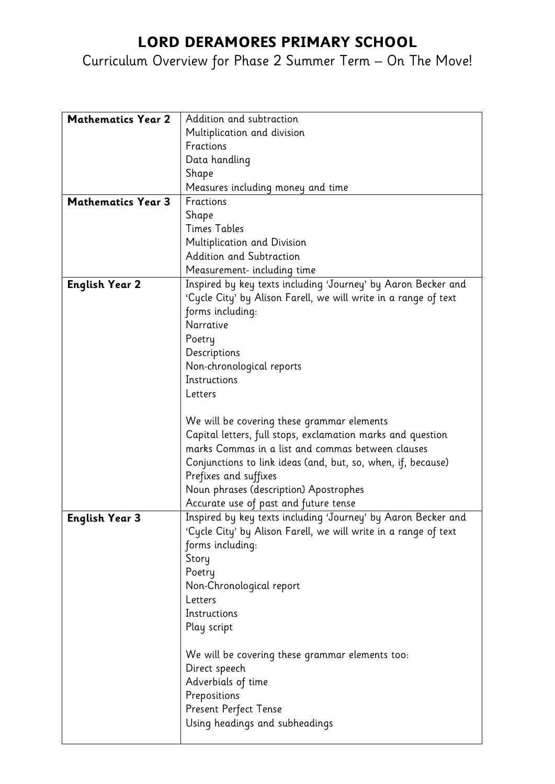## LORD DERAMORES PRIMARY SCHOOL

## Curriculum Overview for Phase 2 Summer Term – On The Move!

| <b>Mathematics Year 2</b> | Addition and subtraction                                        |
|---------------------------|-----------------------------------------------------------------|
|                           | Multiplication and division                                     |
|                           | Fractions                                                       |
|                           | Data handling                                                   |
|                           | Shape                                                           |
|                           | Measures including money and time                               |
| <b>Mathematics Year 3</b> | Fractions                                                       |
|                           | Shape                                                           |
|                           | <b>Times Tables</b>                                             |
|                           | Multiplication and Division                                     |
|                           | Addition and Subtraction                                        |
|                           | Measurement- including time                                     |
| <b>English Year 2</b>     | Inspired by key texts including 'Journey' by Aaron Becker and   |
|                           | 'Cycle City' by Alison Farell, we will write in a range of text |
|                           | forms including:                                                |
|                           | Narrative                                                       |
|                           | Poetry                                                          |
|                           | Descriptions                                                    |
|                           | Non-chronological reports                                       |
|                           | Instructions                                                    |
|                           | Letters                                                         |
|                           |                                                                 |
|                           | We will be covering these grammar elements                      |
|                           | Capital letters, full stops, exclamation marks and question     |
|                           | marks Commas in a list and commas between clauses               |
|                           | Conjunctions to link ideas (and, but, so, when, if, because)    |
|                           | Prefixes and suffixes                                           |
|                           | Noun phrases (description) Apostrophes                          |
|                           | Accurate use of past and future tense                           |
| <b>English Year 3</b>     | Inspired by key texts including 'Journey' by Aaron Becker and   |
|                           | 'Cycle City' by Alison Farell, we will write in a range of text |
|                           | forms including:                                                |
|                           | Story                                                           |
|                           | Poetry                                                          |
|                           | Non-Chronological report                                        |
|                           | Letters                                                         |
|                           | Instructions                                                    |
|                           | Play script                                                     |
|                           |                                                                 |
|                           | We will be covering these grammar elements too:                 |
|                           | Direct speech                                                   |
|                           | Adverbials of time                                              |
|                           | Prepositions                                                    |
|                           | Present Perfect Tense                                           |
|                           | Using headings and subheadings                                  |
|                           |                                                                 |